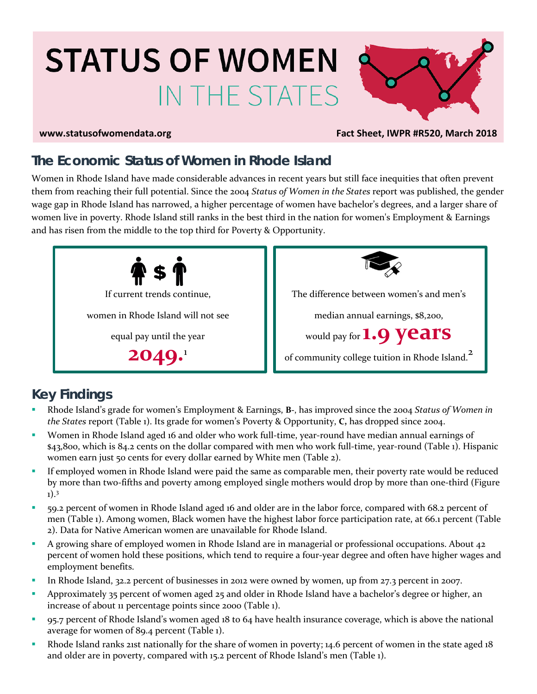# **STATUS OF WOMEN** IN THE STATES



#### **www.statusofwomendata.org Fact Sheet, IWPR #R520, March 2018**

# **The Economic Status of Women in Rhode Island**

Women in Rhode Island have made considerable advances in recent years but still face inequities that often prevent them from reaching their full potential. Since the 2004 *Status of Women in the States* report was published, the gender wage gap in Rhode Island has narrowed, a higher percentage of women have bachelor's degrees, and a larger share of women live in poverty. Rhode Island still ranks in the best third in the nation for women's Employment & Earnings and has risen from the middle to the top third for Poverty & Opportunity.



# **Key Findings**

- Rhode Island's grade for women's Employment & Earnings, **B-**, has improved since the 2004 *Status of Women in the States* report (Table 1). Its grade for women's Poverty & Opportunity, **C,** has dropped since 2004.
- Women in Rhode Island aged 16 and older who work full-time, year-round have median annual earnings of \$43,800, which is 84.2 cents on the dollar compared with men who work full-time, year-round (Table 1). Hispanic women earn just 50 cents for every dollar earned by White men (Table 2).
- If employed women in Rhode Island were paid the same as comparable men, their poverty rate would be reduced by more than two-fifths and poverty among employed single mothers would drop by more than one-third (Figure 1).3
- 59.2 percent of women in Rhode Island aged 16 and older are in the labor force, compared with 68.2 percent of men (Table 1). Among women, Black women have the highest labor force participation rate, at 66.1 percent (Table 2). Data for Native American women are unavailable for Rhode Island.
- A growing share of employed women in Rhode Island are in managerial or professional occupations. About 42 percent of women hold these positions, which tend to require a four-year degree and often have higher wages and employment benefits.
- In Rhode Island, 32.2 percent of businesses in 2012 were owned by women, up from 27.3 percent in 2007.
- **Approximately 35 percent of women aged 25 and older in Rhode Island have a bachelor's degree or higher, an** increase of about 11 percentage points since 2000 (Table 1).
- 95.7 percent of Rhode Island's women aged 18 to 64 have health insurance coverage, which is above the national average for women of 89.4 percent (Table 1).
- Rhode Island ranks 21st nationally for the share of women in poverty; 14.6 percent of women in the state aged 18 and older are in poverty, compared with 15.2 percent of Rhode Island's men (Table 1).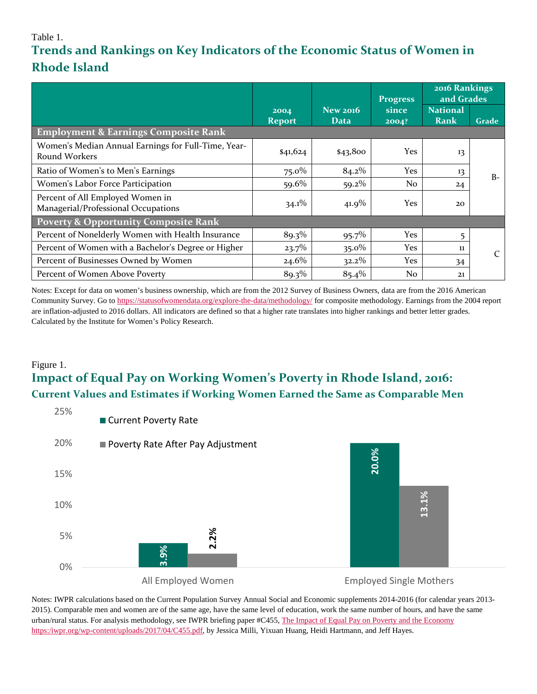### Table 1.

# **Trends and Rankings on Key Indicators of the Economic Status of Women in Rhode Island**

|                                                                         |                       |                                | <b>Progress</b> | 2016 Rankings<br>and Grades |       |  |  |  |  |  |
|-------------------------------------------------------------------------|-----------------------|--------------------------------|-----------------|-----------------------------|-------|--|--|--|--|--|
|                                                                         | 2004<br><b>Report</b> | <b>New 2016</b><br><b>Data</b> | since<br>2004?  | <b>National</b><br>Rank     | Grade |  |  |  |  |  |
| <b>Employment &amp; Earnings Composite Rank</b>                         |                       |                                |                 |                             |       |  |  |  |  |  |
| Women's Median Annual Earnings for Full-Time, Year-<br>Round Workers    | \$41,624              | \$43,800                       | <b>Yes</b>      | 13                          |       |  |  |  |  |  |
| Ratio of Women's to Men's Earnings                                      | $75.0\%$              | 84.2%                          | <b>Yes</b>      | 13                          | $B-$  |  |  |  |  |  |
| Women's Labor Force Participation                                       | 59.6%                 | $59.2\%$                       | No              | 24                          |       |  |  |  |  |  |
| Percent of All Employed Women in<br>Managerial/Professional Occupations | $34.1\%$              | $41.9\%$                       | Yes             | 20                          |       |  |  |  |  |  |
| <b>Poverty &amp; Opportunity Composite Rank</b>                         |                       |                                |                 |                             |       |  |  |  |  |  |
| Percent of Nonelderly Women with Health Insurance                       | 89.3%                 | 95.7%                          | Yes             | 5                           |       |  |  |  |  |  |
| Percent of Women with a Bachelor's Degree or Higher                     | $23.7\%$              | $35.0\%$                       | Yes             | 11                          | C     |  |  |  |  |  |
| Percent of Businesses Owned by Women                                    | $24.6\%$              | $32.2\%$                       | Yes             | 34                          |       |  |  |  |  |  |
| Percent of Women Above Poverty                                          | 89.3%                 | 85.4%                          | N <sub>o</sub>  | 21                          |       |  |  |  |  |  |

Notes: Except for data on women's business ownership, which are from the 2012 Survey of Business Owners, data are from the 2016 American Community Survey. Go to<https://statusofwomendata.org/explore-the-data/methodology/> for composite methodology. Earnings from the 2004 report are inflation-adjusted to 2016 dollars. All indicators are defined so that a higher rate translates into higher rankings and better letter grades. Calculated by the Institute for Women's Policy Research.

#### Figure 1.

## **Impact of Equal Pay on Working Women's Poverty in Rhode Island, 2016: Current Values and Estimates if Working Women Earned the Same as Comparable Men**



Notes: IWPR calculations based on the Current Population Survey Annual Social and Economic supplements 2014-2016 (for calendar years 2013- 2015). Comparable men and women are of the same age, have the same level of education, work the same number of hours, and have the same urban/rural status. For analysis methodology, see IWPR briefing paper #C455[, The Impact of Equal Pay on Poverty and the Economy](https://iwpr.org/wp-content/uploads/2017/04/C455.pdf)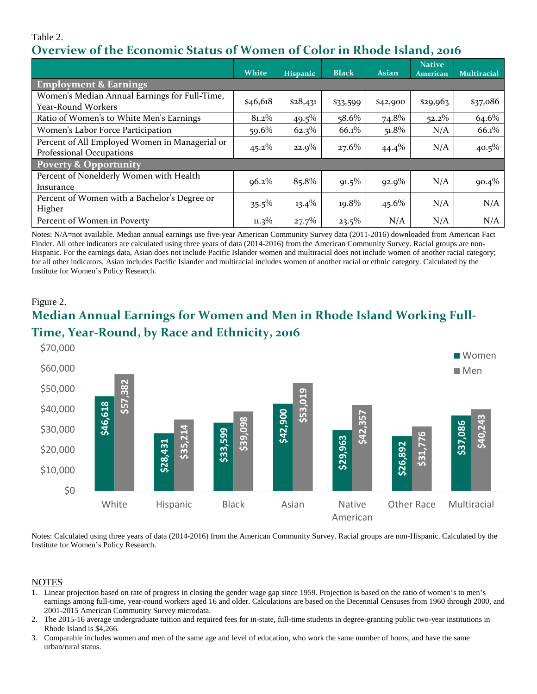### Table 2. **Overview of the Economic Status of Women of Color in Rhode Island, 2016**

|                                                                            | <b>White</b> | <b>Hispanic</b> | <b>Black</b> | <b>Asian</b> | <b>Native</b><br><b>American</b> | <b>Multiracial</b> |  |  |  |
|----------------------------------------------------------------------------|--------------|-----------------|--------------|--------------|----------------------------------|--------------------|--|--|--|
| <b>Employment &amp; Earnings</b>                                           |              |                 |              |              |                                  |                    |  |  |  |
| Women's Median Annual Earnings for Full-Time,<br>Year-Round Workers        | \$46,618     | \$28,431        | \$33,599     | \$42,900     | \$29,963                         | \$37,086           |  |  |  |
| Ratio of Women's to White Men's Earnings                                   | 81.2%        | $49.5\%$        | $58.6\%$     | 74.8%        | $52.2\%$                         | 64.6%              |  |  |  |
| Women's Labor Force Participation                                          | 59.6%        | 62.3%           | 66.1%        | 51.8%        | N/A                              | 66.1%              |  |  |  |
| Percent of All Employed Women in Managerial or<br>Professional Occupations | $45.2\%$     | $22.9\%$        | $27.6\%$     | $44.4\%$     | N/A                              | $40.5\%$           |  |  |  |
| <b>Poverty &amp; Opportunity</b>                                           |              |                 |              |              |                                  |                    |  |  |  |
| Percent of Nonelderly Women with Health<br>Insurance                       | $96.2\%$     | 85.8%           | $91.5\%$     | $92.9\%$     | N/A                              | $90.4\%$           |  |  |  |
| Percent of Women with a Bachelor's Degree or<br>Higher                     | $35.5\%$     | $13.4\%$        | 19.8%        | $45.6\%$     | N/A                              | N/A                |  |  |  |
| Percent of Women in Poverty                                                | $11.3\%$     | 27.7%           | $23.5\%$     | N/A          | N/A                              | N/A                |  |  |  |

Notes: N/A=not available. Median annual earnings use five-year American Community Survey data (2011-2016) downloaded from American Fact Finder. All other indicators are calculated using three years of data (2014-2016) from the American Community Survey. Racial groups are non-Hispanic. For the earnings data, Asian does not include Pacific Islander women and multiracial does not include women of another racial category; for all other indicators, Asian includes Pacific Islander and multiracial includes women of another racial or ethnic category. Calculated by the Institute for Women's Policy Research.

## Figure 2. **Median Annual Earnings for Women and Men in Rhode Island Working Full-Time, Year-Round, by Race and Ethnicity, 2016**



Notes: Calculated using three years of data (2014-2016) from the American Community Survey. Racial groups are non-Hispanic. Calculated by the Institute for Women's Policy Research.

#### **NOTES**

- 1. Linear projection based on rate of progress in closing the gender wage gap since 1959. Projection is based on the ratio of women's to men's earnings among full-time, year-round workers aged 16 and older. Calculations are based on the Decennial Censuses from 1960 through 2000, and 2001-2015 American Community Survey microdata.
- 2. The 2015-16 average undergraduate tuition and required fees for in-state, full-time students in degree-granting public two-year institutions in Rhode Island is \$4,266.
- 3. Comparable includes women and men of the same age and level of education, who work the same number of hours, and have the same urban/rural status.